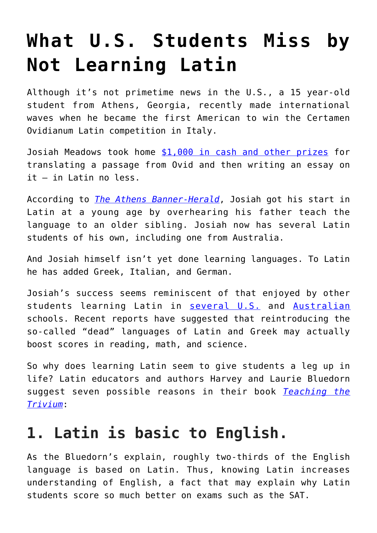# **[What U.S. Students Miss by](https://intellectualtakeout.org/2016/06/what-u-s-students-miss-by-not-learning-latin/) [Not Learning Latin](https://intellectualtakeout.org/2016/06/what-u-s-students-miss-by-not-learning-latin/)**

Although it's not primetime news in the U.S., a 15 year-old student from Athens, Georgia, recently made international waves when he became the first American to win the Certamen Ovidianum Latin competition in Italy.

Josiah Meadows took home [\\$1,000 in cash and other prizes](http://www.corrierepeligno.it/ledizione-2016-del-certamen-ovidianum-sulmonense-parla-americano/49641) for translating a passage from Ovid and then writing an essay on it – in Latin no less.

According to *[The Athens Banner-Herald](http://onlineathens.com/mobile/2016-06-15/athens-student-becomes-first-american-win-international-latin-competition)*, Josiah got his start in Latin at a young age by overhearing his father teach the language to an older sibling. Josiah now has several Latin students of his own, including one from Australia.

And Josiah himself isn't yet done learning languages. To Latin he has added Greek, Italian, and German.

Josiah's success seems reminiscent of that enjoyed by other students learning Latin in [several U.S.](https://www.intellectualtakeout.org/blog/us-schools-using-greek-and-latin-boost-reading-skills) and [Australian](https://www.intellectualtakeout.org/blog/australian-schools-brought-back-greek-and-latin-%E2%80%93-and-are-seeing-amazing-results) schools. Recent reports have suggested that reintroducing the so-called "dead" languages of Latin and Greek may actually boost scores in reading, math, and science.

So why does learning Latin seem to give students a leg up in life? Latin educators and authors Harvey and Laurie Bluedorn suggest seven possible reasons in their book *[Teaching the](https://www.amazon.com/gp/product/0974361631/ref=as_li_qf_sp_asin_il_tl?ie=UTF8&tag=intelltakeo0d-20&camp=1789&creative=9325&linkCode=as2&creativeASIN=0974361631&linkId=34873535edf99a8061efa58df7e1e793) [Trivium](https://www.amazon.com/gp/product/0974361631/ref=as_li_qf_sp_asin_il_tl?ie=UTF8&tag=intelltakeo0d-20&camp=1789&creative=9325&linkCode=as2&creativeASIN=0974361631&linkId=34873535edf99a8061efa58df7e1e793)*:

#### **1. Latin is basic to English.**

As the Bluedorn's explain, roughly two-thirds of the English language is based on Latin. Thus, knowing Latin increases understanding of English, a fact that may explain why Latin students score so much better on exams such as the SAT.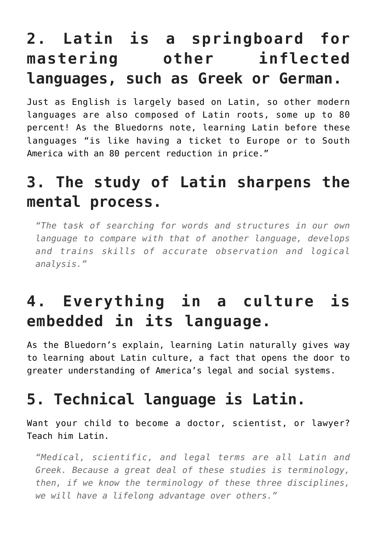## **2. Latin is a springboard for mastering other inflected languages, such as Greek or German.**

Just as English is largely based on Latin, so other modern languages are also composed of Latin roots, some up to 80 percent! As the Bluedorns note, learning Latin before these languages "is like having a ticket to Europe or to South America with an 80 percent reduction in price."

### **3. The study of Latin sharpens the mental process.**

*"The task of searching for words and structures in our own language to compare with that of another language, develops and trains skills of accurate observation and logical analysis."*

## **4. Everything in a culture is embedded in its language.**

As the Bluedorn's explain, learning Latin naturally gives way to learning about Latin culture, a fact that opens the door to greater understanding of America's legal and social systems.

## **5. Technical language is Latin.**

Want your child to become a doctor, scientist, or lawyer? Teach him Latin.

*"Medical, scientific, and legal terms are all Latin and Greek. Because a great deal of these studies is terminology, then, if we know the terminology of these three disciplines, we will have a lifelong advantage over others."*